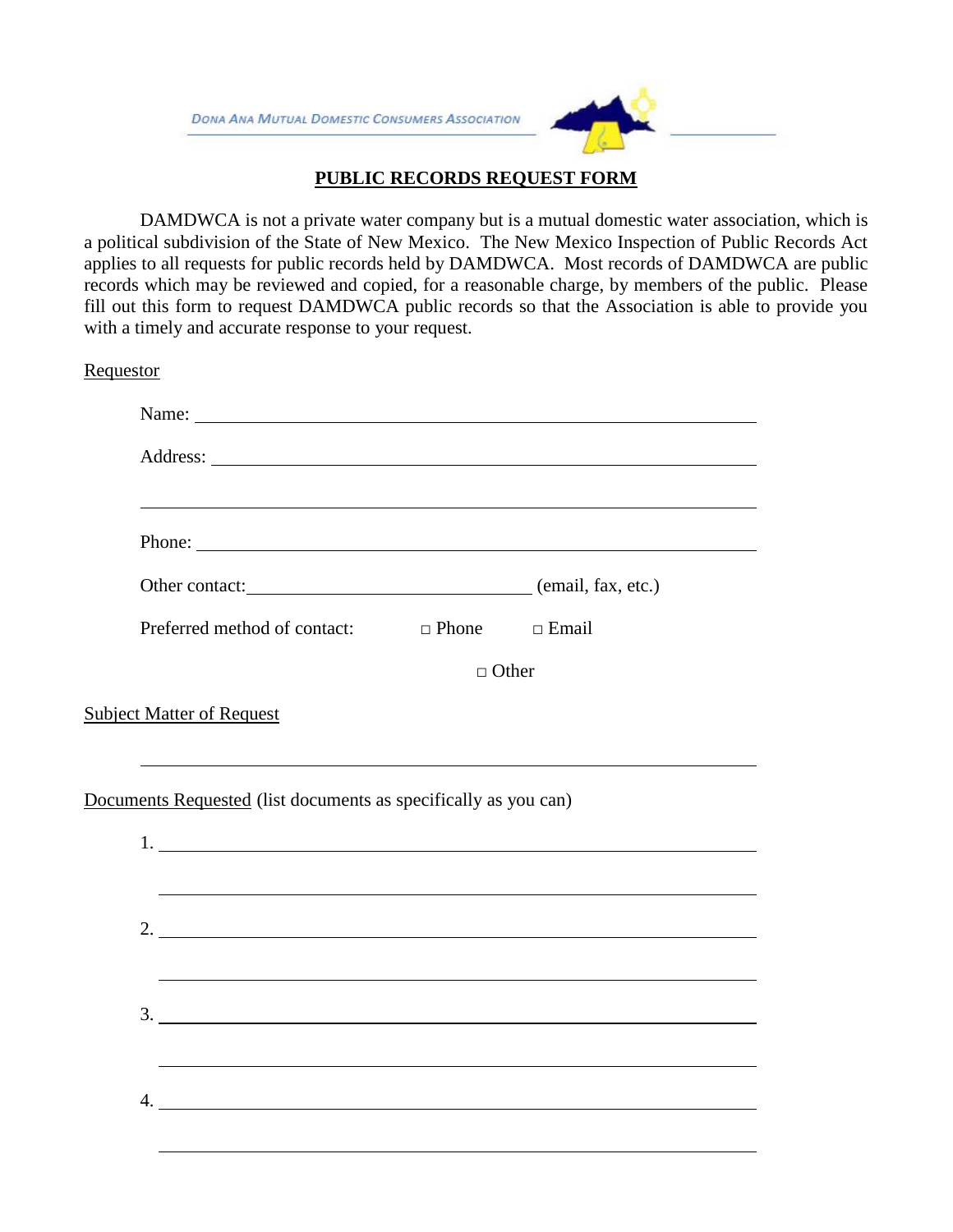

## **PUBLIC RECORDS REQUEST FORM**

DAMDWCA is not a private water company but is a mutual domestic water association, which is a political subdivision of the State of New Mexico. The New Mexico Inspection of Public Records Act applies to all requests for public records held by DAMDWCA. Most records of DAMDWCA are public records which may be reviewed and copied, for a reasonable charge, by members of the public. Please fill out this form to request DAMDWCA public records so that the Association is able to provide you with a timely and accurate response to your request.

**Requestor** 

| Name: Name and the set of the set of the set of the set of the set of the set of the set of the set of the set of the set of the set of the set of the set of the set of the set of the set of the set of the set of the set o |              |
|--------------------------------------------------------------------------------------------------------------------------------------------------------------------------------------------------------------------------------|--------------|
|                                                                                                                                                                                                                                |              |
| ,我们也不会有什么。""我们的人,我们也不会有什么?""我们的人,我们也不会有什么?""我们的人,我们也不会有什么?""我们的人,我们也不会有什么?""我们的人                                                                                                                                               |              |
| Phone:                                                                                                                                                                                                                         |              |
| Other contact: (email, fax, etc.)                                                                                                                                                                                              |              |
| Preferred method of contact: $\Box$ Phone $\Box$ Email                                                                                                                                                                         |              |
|                                                                                                                                                                                                                                | $\Box$ Other |
|                                                                                                                                                                                                                                |              |
|                                                                                                                                                                                                                                |              |
| <b>Subject Matter of Request</b>                                                                                                                                                                                               |              |
| Documents Requested (list documents as specifically as you can)<br>1.<br>,我们也不会有什么。""我们的人,我们也不会有什么?""我们的人,我们也不会有什么?""我们的人,我们也不会有什么?""我们的人,我们也不会有什么?""我们的人<br>2.                                                                |              |
| <u> 1999 - Johann Stoff, amerikansk politiker (d. 1989)</u><br>$3.$ $\overline{\phantom{a}}$                                                                                                                                   |              |
| ,我们也不会有什么。""我们的人,我们也不会有什么?""我们的人,我们也不会有什么?""我们的人,我们也不会有什么?""我们的人,我们也不会有什么?""我们的人                                                                                                                                               |              |